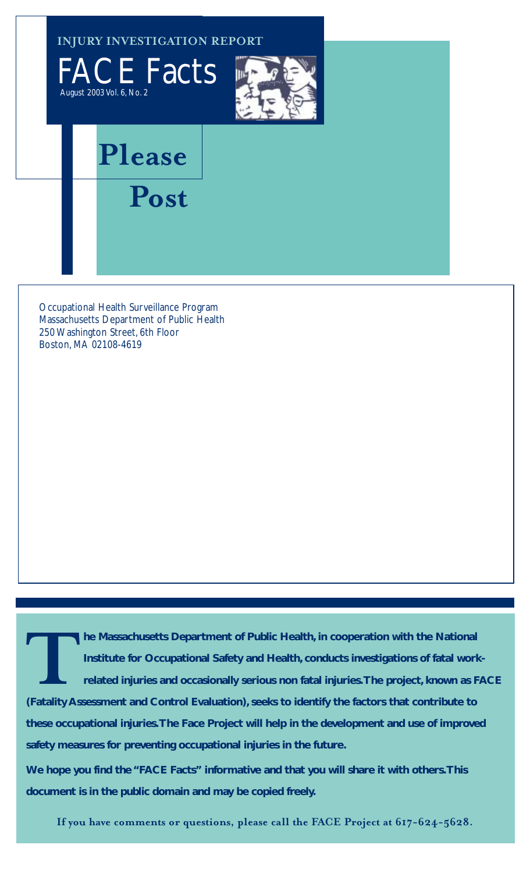**INJURY INVESTIGATION REPORT**





## **Please**

**Post**

Occupational Health Surveillance Program Massachusetts Department of Public Health 250 Washington Street, 6th Floor Boston, MA 02108-4619

**TARRY TERN IN A MASSACHUSETS DEPARTMENT OF Public Health, in cooperation with the National<br>Institute for Occupational Safety and Health, conducts investigations of fatal worl<br>related injuries and occasionally serious non Institute for Occupational Safety and Health, conducts investigations of fatal workrelated injuries and occasionally serious non fatal injuries.The project, known as FACE (Fatality Assessment and Control Evaluation), seeks to identify the factors that contribute to these occupational injuries.The Face Project will help in the development and use of improved safety measures for preventing occupational injuries in the future.**

**We hope you find the "FACE Facts" informative and that you will share it with others.This document is in the public domain and may be copied freely.**

**If you have comments or questions, please call the FACE Project at 617-624-5628.**